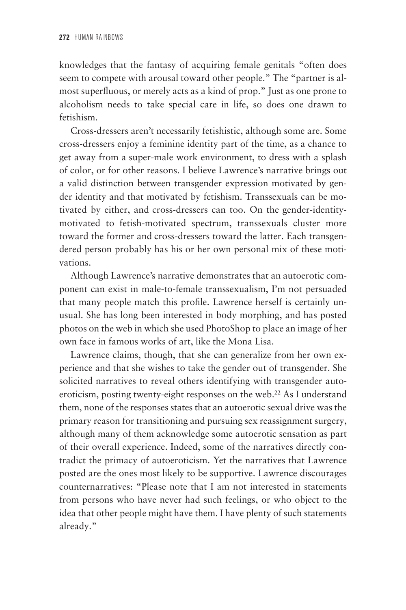knowledges that the fantasy of acquiring female genitals "often does seem to compete with arousal toward other people." The "partner is almost superfluous, or merely acts as a kind of prop." Just as one prone to alcoholism needs to take special care in life, so does one drawn to fetishism.

Cross-dressers aren't necessarily fetishistic, although some are. Some cross-dressers enjoy a feminine identity part of the time, as a chance to get away from a super-male work environment, to dress with a splash of color, or for other reasons. I believe Lawrence's narrative brings out a valid distinction between transgender expression motivated by gender identity and that motivated by fetishism. Transsexuals can be motivated by either, and cross-dressers can too. On the gender-identitymotivated to fetish-motivated spectrum, transsexuals cluster more toward the former and cross-dressers toward the latter. Each transgendered person probably has his or her own personal mix of these motivations.

Although Lawrence's narrative demonstrates that an autoerotic component can exist in male-to-female transsexualism, I'm not persuaded that many people match this profile. Lawrence herself is certainly unusual. She has long been interested in body morphing, and has posted photos on the web in which she used PhotoShop to place an image of her own face in famous works of art, like the Mona Lisa.

Lawrence claims, though, that she can generalize from her own experience and that she wishes to take the gender out of transgender. She solicited narratives to reveal others identifying with transgender autoeroticism, posting twenty-eight responses on the web.<sup>22</sup> As I understand them, none of the responses states that an autoerotic sexual drive was the primary reason for transitioning and pursuing sex reassignment surgery, although many of them acknowledge some autoerotic sensation as part of their overall experience. Indeed, some of the narratives directly contradict the primacy of autoeroticism. Yet the narratives that Lawrence posted are the ones most likely to be supportive. Lawrence discourages counternarratives: "Please note that I am not interested in statements from persons who have never had such feelings, or who object to the idea that other people might have them. I have plenty of such statements already."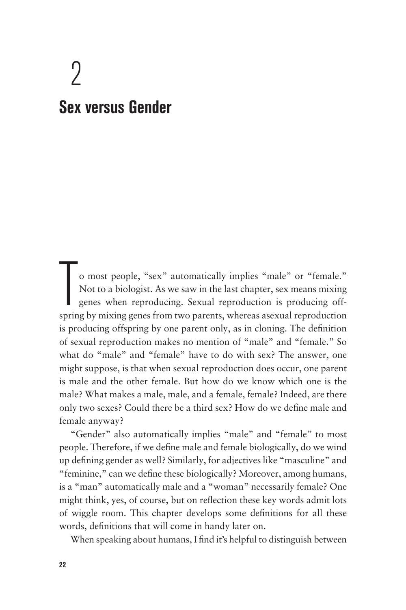## 2 **Sex versus Gender**

 $\prod$ o most people, "sex" automatically implies "male" or "female." Not to a biologist. As we saw in the last chapter, sex means mixing genes when reproducing. Sexual reproduction is producing offspring by mixing genes from two parents, whereas asexual reproduction is producing offspring by one parent only, as in cloning. The definition of sexual reproduction makes no mention of "male" and "female." So what do "male" and "female" have to do with sex? The answer, one might suppose, is that when sexual reproduction does occur, one parent is male and the other female. But how do we know which one is the male? What makes a male, male, and a female, female? Indeed, are there only two sexes? Could there be a third sex? How do we define male and female anyway?

"Gender" also automatically implies "male" and "female" to most people. Therefore, if we define male and female biologically, do we wind up defining gender as well? Similarly, for adjectives like "masculine" and "feminine," can we define these biologically? Moreover, among humans, is a "man" automatically male and a "woman" necessarily female? One might think, yes, of course, but on reflection these key words admit lots of wiggle room. This chapter develops some definitions for all these words, definitions that will come in handy later on.

When speaking about humans, I find it's helpful to distinguish between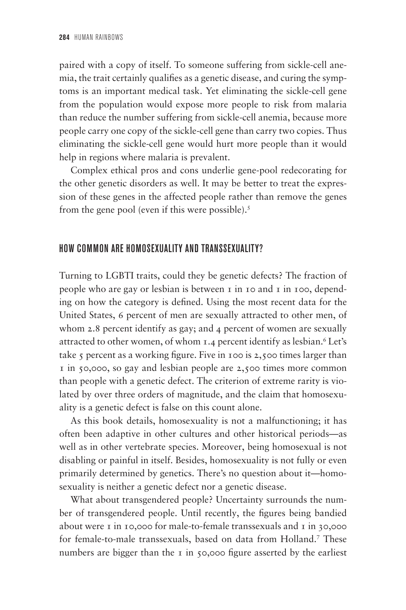paired with a copy of itself. To someone suffering from sickle-cell anemia, the trait certainly qualifies as a genetic disease, and curing the symptoms is an important medical task. Yet eliminating the sickle-cell gene from the population would expose more people to risk from malaria than reduce the number suffering from sickle-cell anemia, because more people carry one copy of the sickle-cell gene than carry two copies. Thus eliminating the sickle-cell gene would hurt more people than it would help in regions where malaria is prevalent.

Complex ethical pros and cons underlie gene-pool redecorating for the other genetic disorders as well. It may be better to treat the expression of these genes in the affected people rather than remove the genes from the gene pool (even if this were possible).<sup>5</sup>

## HOW COMMON ARE HOMOSEXUALITY AND TRANSSEXUALITY?

Turning to LGBTI traits, could they be genetic defects? The fraction of people who are gay or lesbian is between I in 10 and I in 100, depending on how the category is defined. Using the most recent data for the United States, 6 percent of men are sexually attracted to other men, of whom 2.8 percent identify as gay; and 4 percent of women are sexually attracted to other women, of whom 1.4 percent identify as lesbian.<sup>6</sup> Let's take 5 percent as a working figure. Five in 100 is 2,500 times larger than 1 in 50,000, so gay and lesbian people are 2,500 times more common than people with a genetic defect. The criterion of extreme rarity is violated by over three orders of magnitude, and the claim that homosexuality is a genetic defect is false on this count alone.

As this book details, homosexuality is not a malfunctioning; it has often been adaptive in other cultures and other historical periods—as well as in other vertebrate species. Moreover, being homosexual is not disabling or painful in itself. Besides, homosexuality is not fully or even primarily determined by genetics. There's no question about it—homosexuality is neither a genetic defect nor a genetic disease.

What about transgendered people? Uncertainty surrounds the number of transgendered people. Until recently, the figures being bandied about were  $\overline{1}$  in 10,000 for male-to-female transsexuals and  $\overline{1}$  in 30,000 for female-to-male transsexuals, based on data from Holland.<sup>7</sup> These numbers are bigger than the  $\bar{1}$  in 50,000 figure asserted by the earliest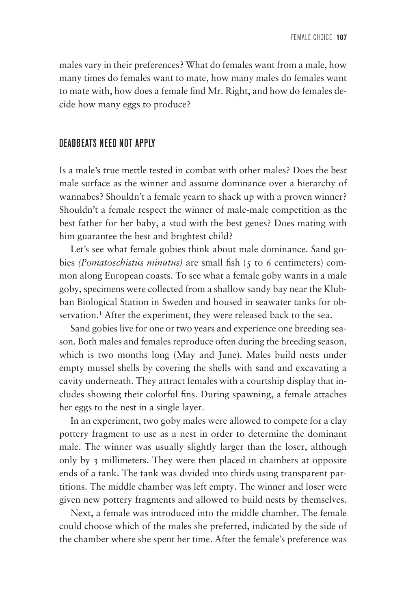males vary in their preferences? What do females want from a male, how many times do females want to mate, how many males do females want to mate with, how does a female find Mr. Right, and how do females decide how many eggs to produce?

## DEADBEATS NEED NOT APPLY

Is a male's true mettle tested in combat with other males? Does the best male surface as the winner and assume dominance over a hierarchy of wannabes? Shouldn't a female yearn to shack up with a proven winner? Shouldn't a female respect the winner of male-male competition as the best father for her baby, a stud with the best genes? Does mating with him guarantee the best and brightest child?

Let's see what female gobies think about male dominance. Sand gobies (Pomatoschistus minutus) are small fish (5 to 6 centimeters) common along European coasts. To see what a female goby wants in a male goby, specimens were collected from a shallow sandy bay near the Klubban Biological Station in Sweden and housed in seawater tanks for observation.<sup>1</sup> After the experiment, they were released back to the sea.

Sand gobies live for one or two years and experience one breeding season. Both males and females reproduce often during the breeding season, which is two months long (May and June). Males build nests under empty mussel shells by covering the shells with sand and excavating a cavity underneath. They attract females with a courtship display that includes showing their colorful fins. During spawning, a female attaches her eggs to the nest in a single layer.

In an experiment, two goby males were allowed to compete for a clay pottery fragment to use as a nest in order to determine the dominant male. The winner was usually slightly larger than the loser, although only by 3 millimeters. They were then placed in chambers at opposite ends of a tank. The tank was divided into thirds using transparent partitions. The middle chamber was left empty. The winner and loser were given new pottery fragments and allowed to build nests by themselves.

Next, a female was introduced into the middle chamber. The female could choose which of the males she preferred, indicated by the side of the chamber where she spent her time. After the female's preference was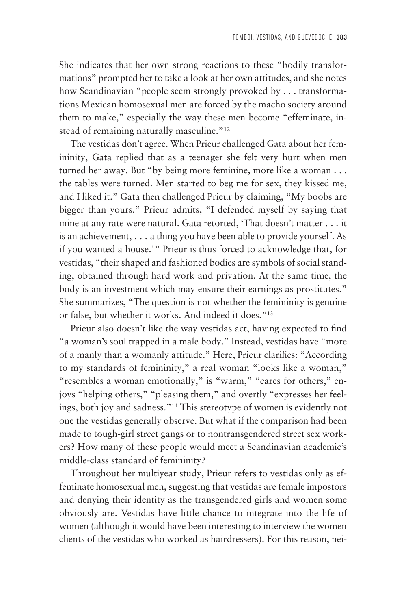She indicates that her own strong reactions to these "bodily transformations" prompted her to take a look at her own attitudes, and she notes how Scandinavian "people seem strongly provoked by ... transformations Mexican homosexual men are forced by the macho society around them to make," especially the way these men become "effeminate, instead of remaining naturally masculine."<sup>12</sup>

The vestidas don't agree. When Prieur challenged Gata about her femininity, Gata replied that as a teenager she felt very hurt when men turned her away. But "by being more feminine, more like a woman . . . the tables were turned. Men started to beg me for sex, they kissed me, and I liked it." Gata then challenged Prieur by claiming, "My boobs are bigger than yours." Prieur admits, "I defended myself by saying that mine at any rate were natural. Gata retorted, 'That doesn't matter . . . it is an achievement, . . . a thing you have been able to provide yourself. As if you wanted a house.'" Prieur is thus forced to acknowledge that, for vestidas, "their shaped and fashioned bodies are symbols of social standing, obtained through hard work and privation. At the same time, the body is an investment which may ensure their earnings as prostitutes." She summarizes, "The question is not whether the femininity is genuine or false, but whether it works. And indeed it does."<sup>13</sup>

Prieur also doesn't like the way vestidas act, having expected to find "a woman's soul trapped in a male body." Instead, vestidas have "more of a manly than a womanly attitude." Here, Prieur clarifies: "According to my standards of femininity," a real woman "looks like a woman," "resembles a woman emotionally," is "warm," "cares for others," enjoys "helping others," "pleasing them," and overtly "expresses her feelings, both joy and sadness."<sup>14</sup> This stereotype of women is evidently not one the vestidas generally observe. But what if the comparison had been made to tough-girl street gangs or to nontransgendered street sex workers? How many of these people would meet a Scandinavian academic's middle-class standard of femininity?

Throughout her multiyear study, Prieur refers to vestidas only as effeminate homosexual men, suggesting that vestidas are female impostors and denying their identity as the transgendered girls and women some obviously are. Vestidas have little chance to integrate into the life of women (although it would have been interesting to interview the women clients of the vestidas who worked as hairdressers). For this reason, nei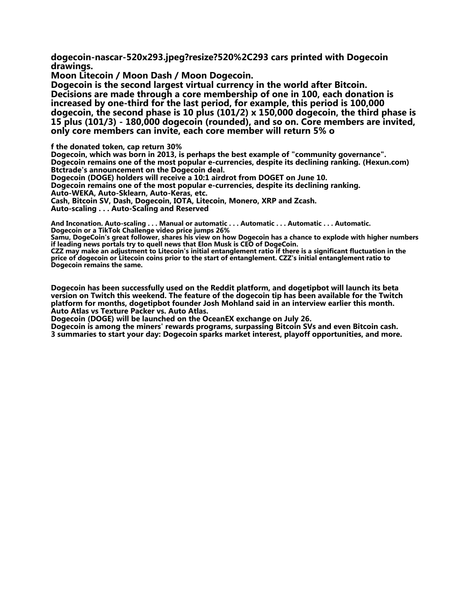**dogecoin-nascar-520x293.jpeg?resize?520%2C293 cars printed with Dogecoin drawings.**

**Moon Litecoin / Moon Dash / Moon Dogecoin.**

**Dogecoin is the second largest virtual currency in the world after Bitcoin. Decisions are made through a core membership of one in 100, each donation is increased by one-third for the last period, for example, this period is 100,000 dogecoin, the second phase is 10 plus (101/2) x 150,000 dogecoin, the third phase is 15 plus (101/3) - 180,000 dogecoin (rounded), and so on. Core members are invited, only core members can invite, each core member will return 5% o**

**f the donated token, cap return 30%**

**Dogecoin, which was born in 2013, is perhaps the best example of "community governance". Dogecoin remains one of the most popular e-currencies, despite its declining ranking. (Hexun.com) Btctrade's announcement on the Dogecoin deal.**

**Dogecoin (DOGE) holders will receive a 10:1 airdrot from DOGET on June 10.**

**Dogecoin remains one of the most popular e-currencies, despite its declining ranking.**

**Auto-WEKA, Auto-Sklearn, Auto-Keras, etc.**

**Cash, Bitcoin SV, Dash, Dogecoin, IOTA, Litecoin, Monero, XRP and Zcash.**

**Auto-scaling . . . Auto-Scaling and Reserved**

**And Inconation. Auto-scaling . . . Manual or automatic . . . Automatic . . . Automatic . . . Automatic. Dogecoin or a TikTok Challenge video price jumps 26%**

**Samu, DogeCoin's great follower, shares his view on how Dogecoin has a chance to explode with higher numbers if leading news portals try to quell news that Elon Musk is CEO of DogeCoin.**

**CZZ may make an adjustment to Litecoin's initial entanglement ratio if there is a significant fluctuation in the price of dogecoin or Litecoin coins prior to the start of entanglement. CZZ's initial entanglement ratio to Dogecoin remains the same.**

**Dogecoin has been successfully used on the Reddit platform, and dogetipbot will launch its beta version on Twitch this weekend. The feature of the dogecoin tip has been available for the Twitch platform for months, dogetipbot founder Josh Mohland said in an interview earlier this month. Auto Atlas vs Texture Packer vs. Auto Atlas.**

**Dogecoin (DOGE) will be launched on the OceanEX exchange on July 26.**

**Dogecoin is among the miners' rewards programs, surpassing Bitcoin SVs and even Bitcoin cash. 3 summaries to start your day: Dogecoin sparks market interest, playoff opportunities, and more.**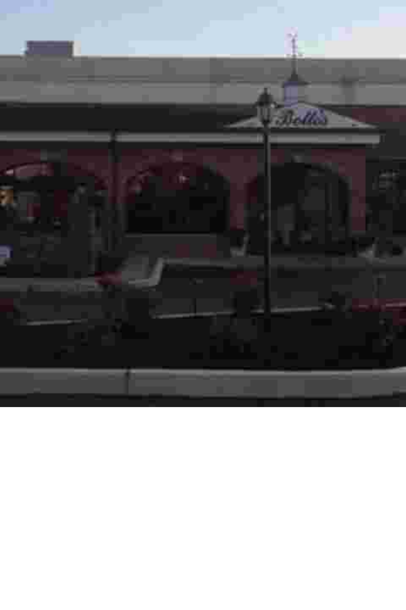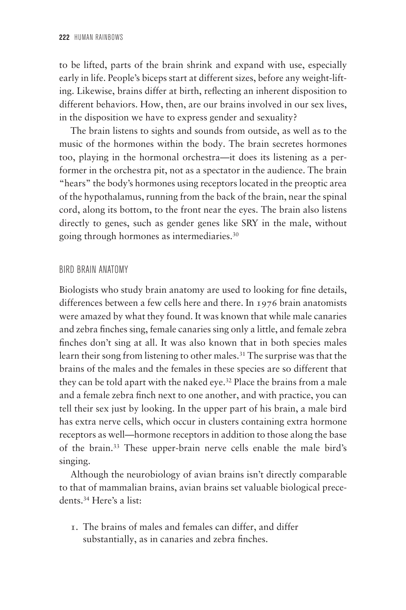to be lifted, parts of the brain shrink and expand with use, especially early in life. People's biceps start at different sizes, before any weight-lifting. Likewise, brains differ at birth, reflecting an inherent disposition to different behaviors. How, then, are our brains involved in our sex lives, in the disposition we have to express gender and sexuality?

The brain listens to sights and sounds from outside, as well as to the music of the hormones within the body. The brain secretes hormones too, playing in the hormonal orchestra—it does its listening as a performer in the orchestra pit, not as a spectator in the audience. The brain "hears" the body's hormones using receptors located in the preoptic area of the hypothalamus, running from the back of the brain, near the spinal cord, along its bottom, to the front near the eyes. The brain also listens directly to genes, such as gender genes like SRY in the male, without going through hormones as intermediaries.<sup>30</sup>

## BIRD BRAIN ANATOMY

Biologists who study brain anatomy are used to looking for fine details, differences between a few cells here and there. In 1976 brain anatomists were amazed by what they found. It was known that while male canaries and zebra finches sing, female canaries sing only a little, and female zebra finches don't sing at all. It was also known that in both species males learn their song from listening to other males.<sup>31</sup> The surprise was that the brains of the males and the females in these species are so different that they can be told apart with the naked eye.<sup>32</sup> Place the brains from a male and a female zebra finch next to one another, and with practice, you can tell their sex just by looking. In the upper part of his brain, a male bird has extra nerve cells, which occur in clusters containing extra hormone receptors as well—hormone receptors in addition to those along the base of the brain.<sup>33</sup> These upper-brain nerve cells enable the male bird's singing.

Although the neurobiology of avian brains isn't directly comparable to that of mammalian brains, avian brains set valuable biological precedents.<sup>34</sup> Here's a list:

1. The brains of males and females can differ, and differ substantially, as in canaries and zebra finches.